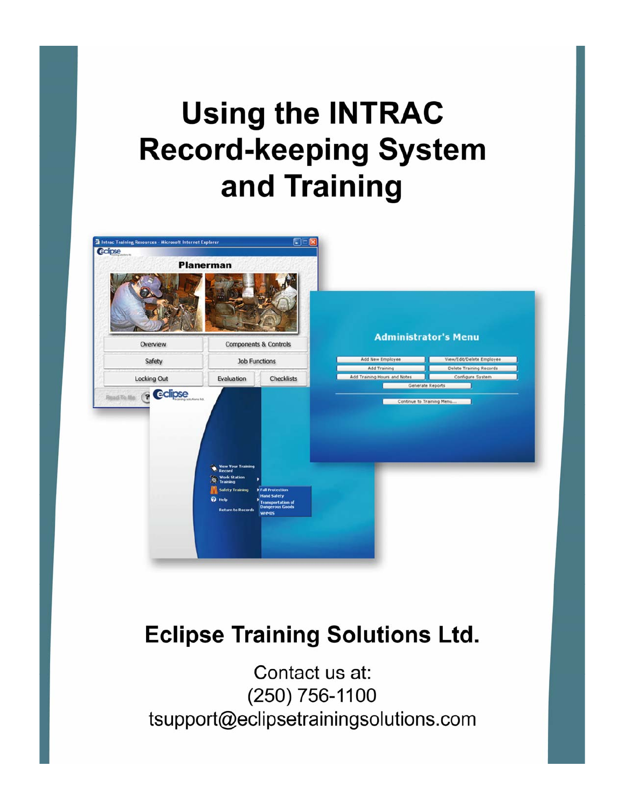# **Using the INTRAC Record-keeping System** and Training



## **Eclipse Training Solutions Ltd.**

Contact us at: (250) 756-1100 tsupport@eclipsetrainingsolutions.com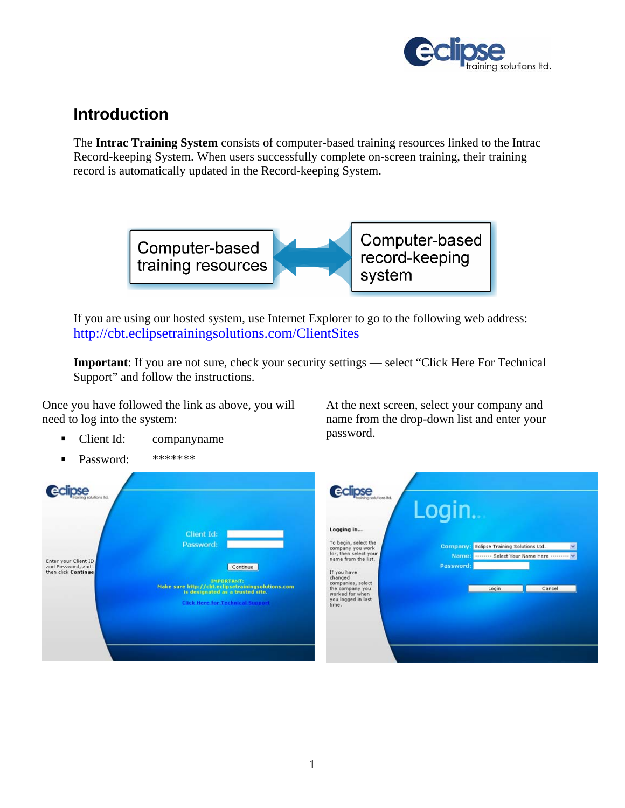

## **Introduction**

The **Intrac Training System** consists of computer-based training resources linked to the Intrac Record-keeping System. When users successfully complete on-screen training, their training record is automatically updated in the Record-keeping System.



If you are using our hosted system, use Internet Explorer to go to the following web address: http://cbt.eclipsetrainingsolutions.com/ClientSites

**Important**: If you are not sure, check your security settings — select "Click Here For Technical Support" and follow the instructions.

Once you have followed the link as above, you will need to log into the system:

- Client Id: companyname
- Password: \*\*\*\*\*\*\*\*

At the next screen, select your company and name from the drop-down list and enter your password.

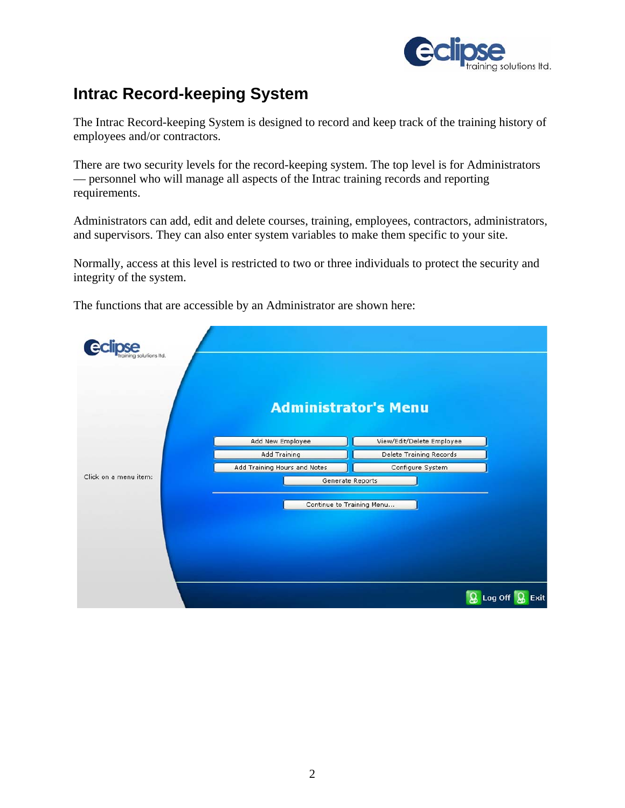

## **Intrac Record-keeping System**

The Intrac Record-keeping System is designed to record and keep track of the training history of employees and/or contractors.

There are two security levels for the record-keeping system. The top level is for Administrators — personnel who will manage all aspects of the Intrac training records and reporting requirements.

Administrators can add, edit and delete courses, training, employees, contractors, administrators, and supervisors. They can also enter system variables to make them specific to your site.

Normally, access at this level is restricted to two or three individuals to protect the security and integrity of the system.

The functions that are accessible by an Administrator are shown here:

| tions Itd.            |                              |                           |                      |
|-----------------------|------------------------------|---------------------------|----------------------|
|                       | <b>Administrator's Menu</b>  |                           |                      |
|                       | Add New Employee             | View/Edit/Delete Employee |                      |
|                       | <b>Add Training</b>          | Delete Training Records   |                      |
|                       | Add Training Hours and Notes | Configure System          |                      |
| Click on a menu item: | Generate Reports             |                           |                      |
|                       | Continue to Training Menu    |                           |                      |
|                       |                              |                           | இ<br>Log Off<br>Exit |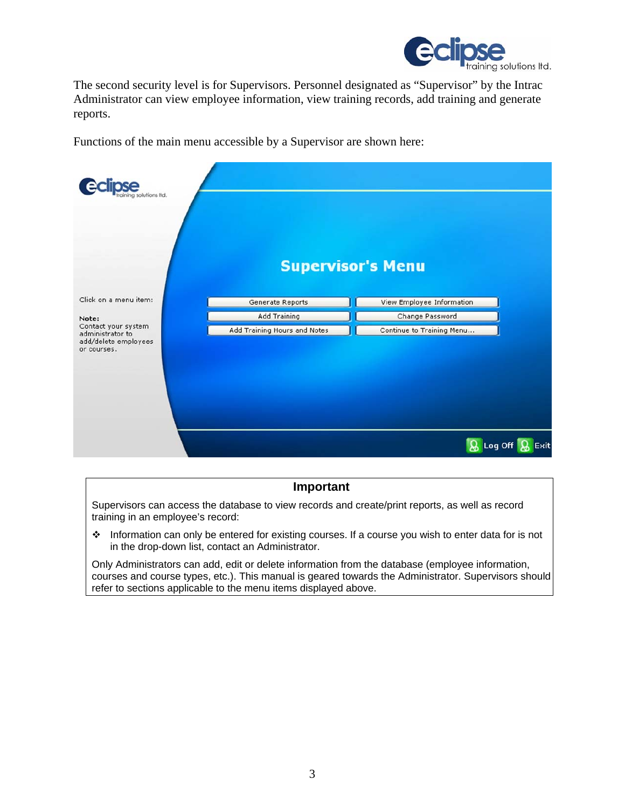

The second security level is for Supervisors. Personnel designated as "Supervisor" by the Intrac Administrator can view employee information, view training records, add training and generate reports.

Functions of the main menu accessible by a Supervisor are shown here:

| itions Itd.                                                                    | <b>Supervisor's Menu</b>     |                           |
|--------------------------------------------------------------------------------|------------------------------|---------------------------|
| Click on a menu item:                                                          | Generate Reports             | View Employee Information |
| Note:                                                                          | Add Training                 | Change Password           |
| Contact your system<br>administrator to<br>add/delete employees<br>or courses. | Add Training Hours and Notes | Continue to Training Menu |
|                                                                                |                              | Log Off<br>Exit           |

#### **Important**

Supervisors can access the database to view records and create/print reports, as well as record training in an employee's record:

 Information can only be entered for existing courses. If a course you wish to enter data for is not in the drop-down list, contact an Administrator.

Only Administrators can add, edit or delete information from the database (employee information, courses and course types, etc.). This manual is geared towards the Administrator. Supervisors should refer to sections applicable to the menu items displayed above.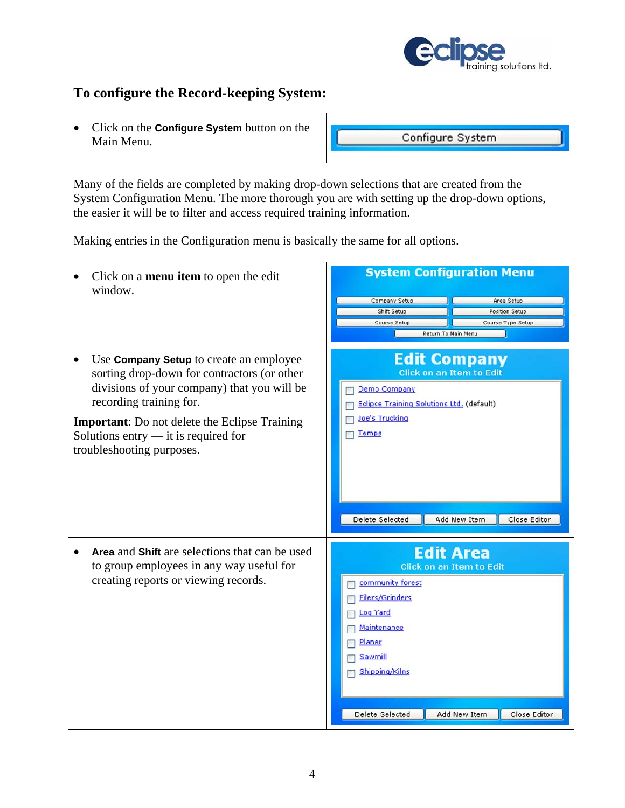

#### **To configure the Record-keeping System:**

• Click on the **Configure System** button on the Main Menu.

Configure System

Many of the fields are completed by making drop-down selections that are created from the System Configuration Menu. The more thorough you are with setting up the drop-down options, the easier it will be to filter and access required training information.

Making entries in the Configuration menu is basically the same for all options.

| Click on a <b>menu</b> item to open the edit<br>window.                                                                                                                                                                                                                                              | <b>System Configuration Menu</b><br>Company Setup<br>Area Setup<br>Shift Setup<br>Position Setup<br>Course Setup<br>Course Type Setup<br>Return To Main Menu                                                                  |
|------------------------------------------------------------------------------------------------------------------------------------------------------------------------------------------------------------------------------------------------------------------------------------------------------|-------------------------------------------------------------------------------------------------------------------------------------------------------------------------------------------------------------------------------|
| Use <b>Company Setup</b> to create an employee<br>sorting drop-down for contractors (or other<br>divisions of your company) that you will be<br>recording training for.<br><b>Important:</b> Do not delete the Eclipse Training<br>Solutions entry - it is required for<br>troubleshooting purposes. | <b>Edit Company</b><br><b>Click on an Item to Edit</b><br>Demo Company<br>Eclipse Training Solutions Ltd. (default)<br><b>Joe's Trucking</b><br>Temps<br>Delete Selected<br>Add New Item<br>Close Editor                      |
| Area and Shift are selections that can be used<br>to group employees in any way useful for<br>creating reports or viewing records.                                                                                                                                                                   | <b>Edit Area</b><br><b>Click on an Item to Edit</b><br>community forest<br><b>Filers/Grinders</b><br><b>Log Yard</b><br>Maintenance<br>Planer<br>Sawmill<br>Shipping/Kilns<br>Add New Item<br>Delete Selected<br>Close Editor |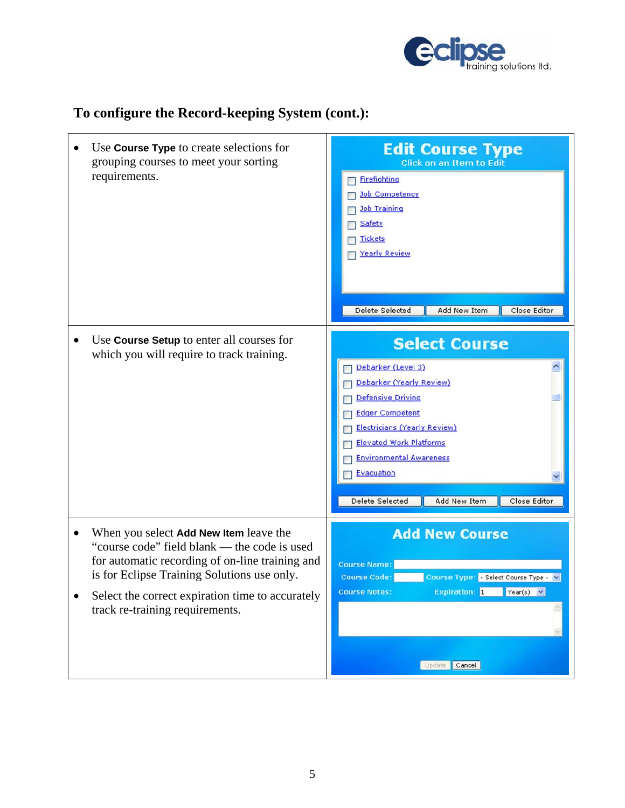

## **To configure the Record-keeping System (cont.):**

| Use <b>Course Type</b> to create selections for<br>grouping courses to meet your sorting<br>requirements.                                                                                                                                                                                    | <b>Edit Course Type</b><br><b>Click on an Item to Edit</b><br>Firefighting<br><b>Job Competency</b><br><b>Job Training</b><br>Safety<br><b>Tickets</b><br><b>Yearly Review</b><br>Delete Selected<br>Add New Item<br>Close Editor                                                                               |
|----------------------------------------------------------------------------------------------------------------------------------------------------------------------------------------------------------------------------------------------------------------------------------------------|-----------------------------------------------------------------------------------------------------------------------------------------------------------------------------------------------------------------------------------------------------------------------------------------------------------------|
| Use Course Setup to enter all courses for<br>which you will require to track training.                                                                                                                                                                                                       | <b>Select Course</b><br>Debarker (Level 3)<br>Debarker (Yearly Review)<br><b>Defensive Driving</b><br><b>Edger Competent</b><br><b>Electricians (Yearly Review)</b><br><b>Elevated Work Platforms</b><br><b>Environmental Awareness</b><br><b>Evacuation</b><br>Delete Selected<br>Add New Item<br>Close Editor |
| When you select Add New Item leave the<br>$\bullet$<br>"course code" field blank — the code is used<br>for automatic recording of on-line training and<br>is for Eclipse Training Solutions use only.<br>Select the correct expiration time to accurately<br>track re-training requirements. | <b>Add New Course</b><br><b>Course Name:</b><br><b>Course Code:</b><br>Course Type: - Select Course Type - V<br><b>Course Notes:</b><br><b>Expiration: 1</b><br>$Year(s) \times$<br>Update Cancel                                                                                                               |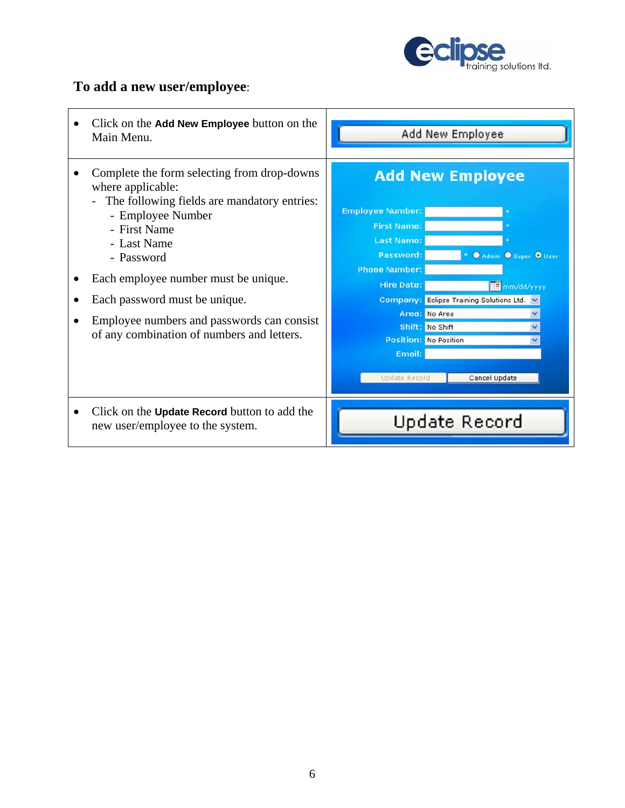

#### **To add a new user/employee**:

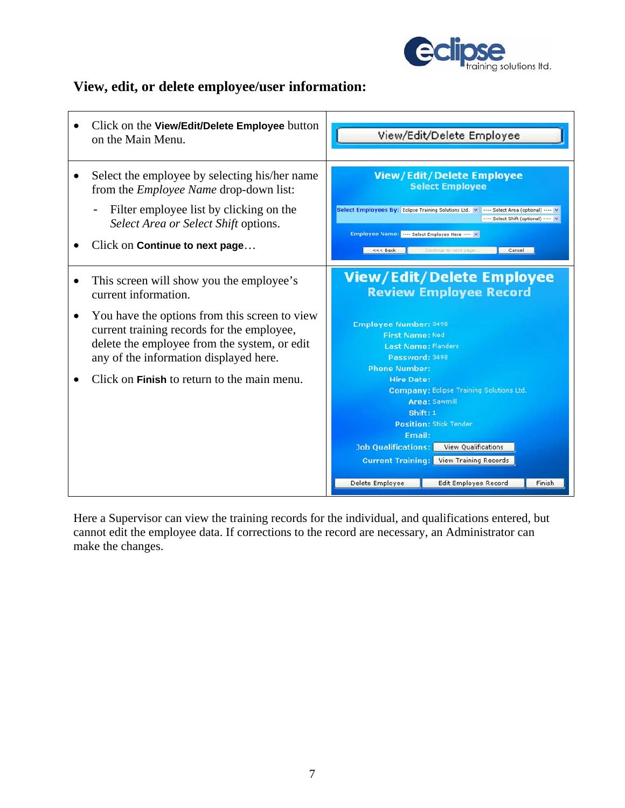

#### **View, edit, or delete employee/user information:**



Here a Supervisor can view the training records for the individual, and qualifications entered, but cannot edit the employee data. If corrections to the record are necessary, an Administrator can make the changes.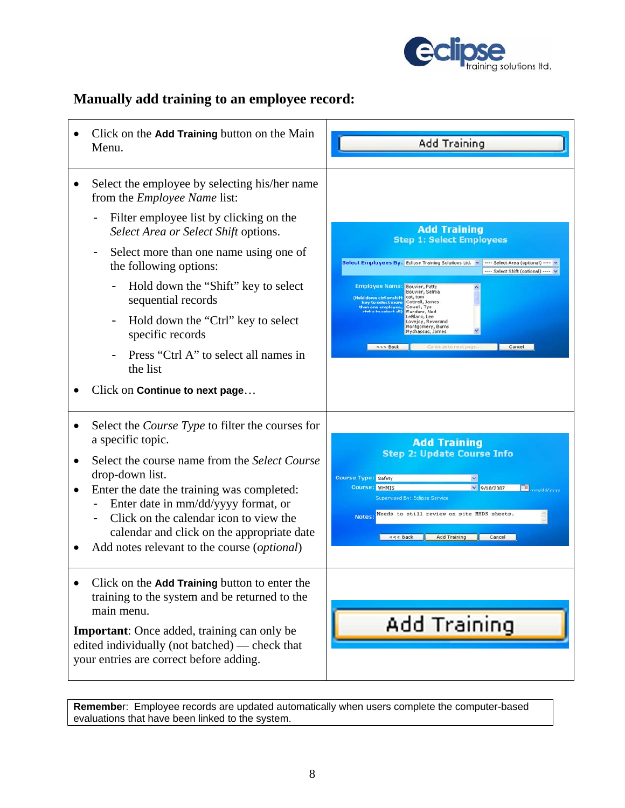

#### **Manually add training to an employee record:**



**Remembe**r: Employee records are updated automatically when users complete the computer-based evaluations that have been linked to the system.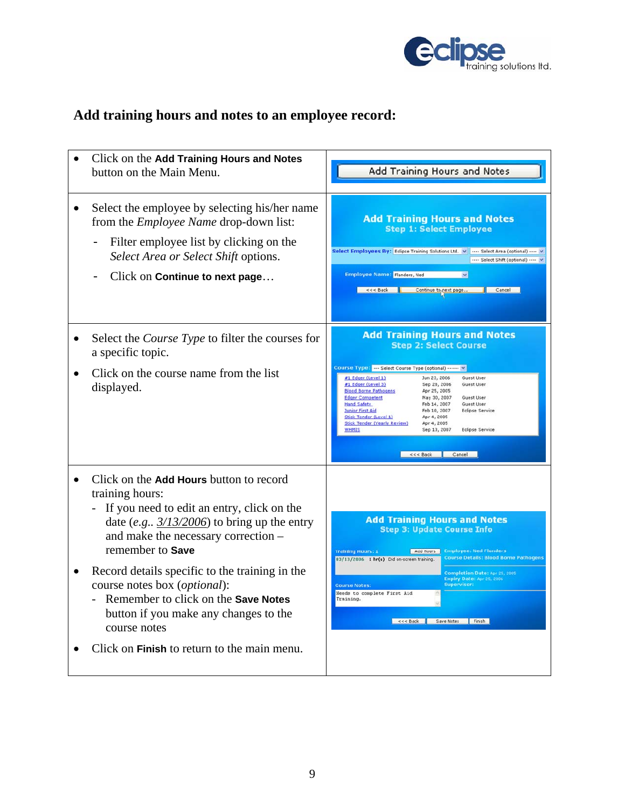

## **Add training hours and notes to an employee record:**

| Click on the Add Training Hours and Notes<br>button on the Main Menu.                                                                                                                                                                                                                                                                                                                                                                                          | Add Training Hours and Notes                                                                                                                                                                                                                                                                                                                                                                                                                                                                                                                                                                                                        |
|----------------------------------------------------------------------------------------------------------------------------------------------------------------------------------------------------------------------------------------------------------------------------------------------------------------------------------------------------------------------------------------------------------------------------------------------------------------|-------------------------------------------------------------------------------------------------------------------------------------------------------------------------------------------------------------------------------------------------------------------------------------------------------------------------------------------------------------------------------------------------------------------------------------------------------------------------------------------------------------------------------------------------------------------------------------------------------------------------------------|
| Select the employee by selecting his/her name<br>from the <i>Employee Name</i> drop-down list:<br>Filter employee list by clicking on the<br>$\overline{\phantom{0}}$<br>Select Area or Select Shift options.<br>Click on Continue to next page                                                                                                                                                                                                                | <b>Add Training Hours and Notes</b><br><b>Step 1: Select Employee</b><br>Select Employees By: Eclipse Training Solutions Ltd. v  Select Area (optional)  v<br>---- Select Shift (optional) ---- V<br>Employee Name: Flanders, Ned<br><<< Back<br>Continue to next page<br>Cancel                                                                                                                                                                                                                                                                                                                                                    |
| Select the <i>Course Type</i> to filter the courses for<br>a specific topic.<br>Click on the course name from the list<br>displayed.                                                                                                                                                                                                                                                                                                                           | <b>Add Training Hours and Notes</b><br><b>Step 2: Select Course</b><br>Course Type:  Select Course Type (optional)  v<br>#1 Edger (Level 1)<br>Jun 23, 2006<br>Guest User<br>Guest User<br>#1 Edger (Level 3)<br>Sep 28, 2006<br><b>Blood Borne Pathogens</b><br>Apr 25, 2005<br><b>Edger Competent</b><br>May 30, 2007<br>Guest User<br>Feb 14, 2007<br><b>Guest User</b><br><b>Hand Safety</b><br>Junior First Aid<br>Feb 10, 2007<br>Eclipse Service<br>Stick Tender (Level 1)<br>Apr 4, 2005<br><b>Stick Tender (Yearly Review)</b><br>Apr 4, 2005<br>Sep 13, 2007<br><b>Eclipse Service</b><br><b>WHMIS</b><br><<< Back Cancel |
| Click on the Add Hours button to record<br>training hours:<br>If you need to edit an entry, click on the<br>date (e.g., $3/13/2006$ ) to bring up the entry<br>and make the necessary correction -<br>remember to Save<br>Record details specific to the training in the<br>course notes box (optional):<br>Remember to click on the Save Notes<br>button if you make any changes to the<br>course notes<br>Click on <b>Finish</b> to return to the main menu. | <b>Add Training Hours and Notes</b><br><b>Step 3: Update Course Info</b><br><b>Training Hours: 1</b><br>Add Hours<br><b>Employee: Ned Flanders</b><br><b>Course Details: Blood Borne Pathogens</b><br>03/13/2006 1 hr(s) Did on-screen training.<br>Completion Date: Apr 25, 2005<br>Expiry Date: Apr 25, 2006<br><b>Supervisor:</b><br><b>Course Notes:</b><br>Needs to complete First Aid<br>Training.<br><<< Back Save Notes Finish                                                                                                                                                                                              |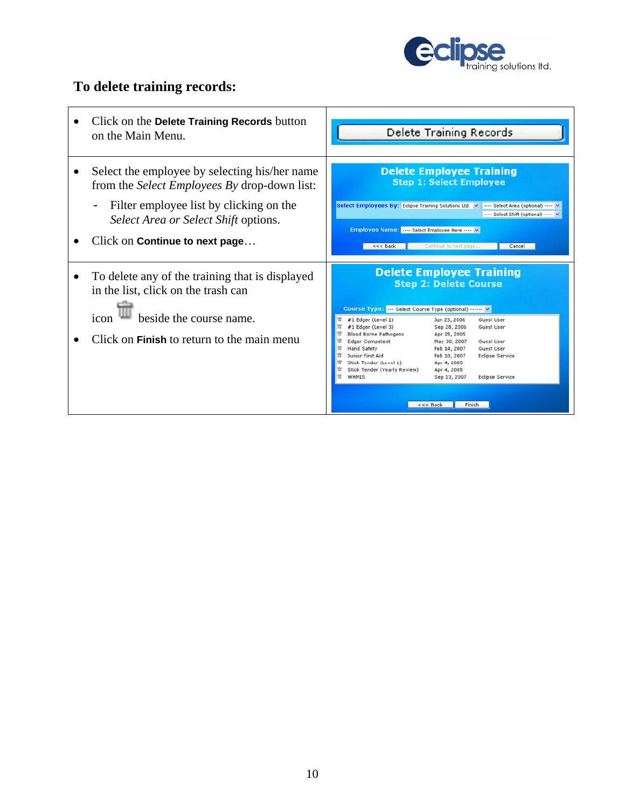

#### **To delete training records:**

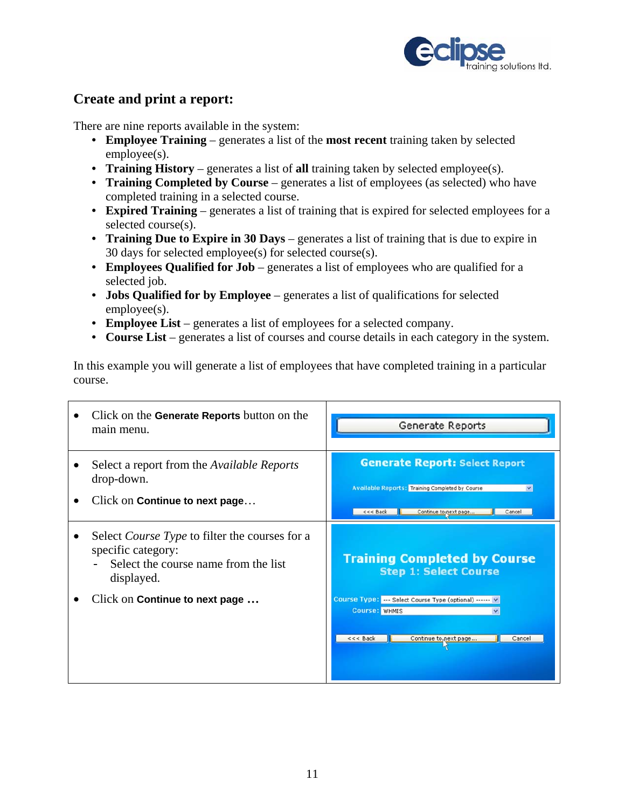

#### **Create and print a report:**

There are nine reports available in the system:

- **Employee Training** generates a list of the **most recent** training taken by selected employee(s).
- **Training History** generates a list of **all** training taken by selected employee(s).
- **Training Completed by Course** generates a list of employees (as selected) who have completed training in a selected course.
- **Expired Training** generates a list of training that is expired for selected employees for a selected course(s).
- **Training Due to Expire in 30 Days** generates a list of training that is due to expire in 30 days for selected employee(s) for selected course(s).
- **Employees Qualified for Job** generates a list of employees who are qualified for a selected job.
- **Jobs Qualified for by Employee** generates a list of qualifications for selected employee(s).
- **Employee List** generates a list of employees for a selected company.
- **Course List** generates a list of courses and course details in each category in the system.

In this example you will generate a list of employees that have completed training in a particular course.

| Click on the <b>Generate Reports</b> button on the<br>main menu.                                                                  | Generate Reports                                                                                                                                               |
|-----------------------------------------------------------------------------------------------------------------------------------|----------------------------------------------------------------------------------------------------------------------------------------------------------------|
| Select a report from the <i>Available Reports</i><br>drop-down.<br>Click on Continue to next page                                 | <b>Generate Report: Select Report</b><br><b>Available Reports: Training Completed by Course</b><br>$\checkmark$<br>Continue to next page<br><<< Back<br>Cancel |
| Select <i>Course Type</i> to filter the courses for a<br>specific category:<br>Select the course name from the list<br>displayed. | <b>Training Completed by Course</b><br><b>Step 1: Select Course</b>                                                                                            |
| Click on Continue to next page                                                                                                    | Course Type:  Select Course Type (optional)  v<br><b>Course: WHMIS</b><br><<< Back<br>Continue to next page<br>Cancel                                          |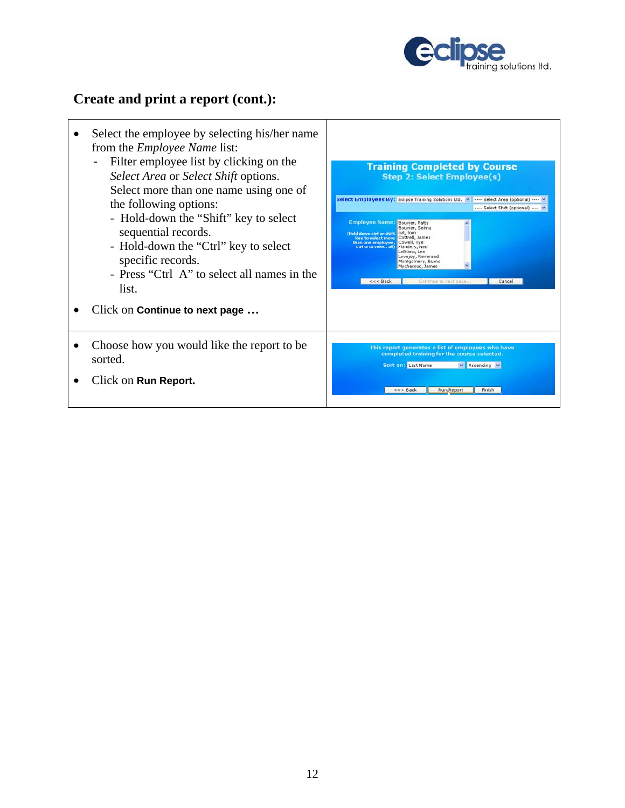

#### **Create and print a report (cont.):**

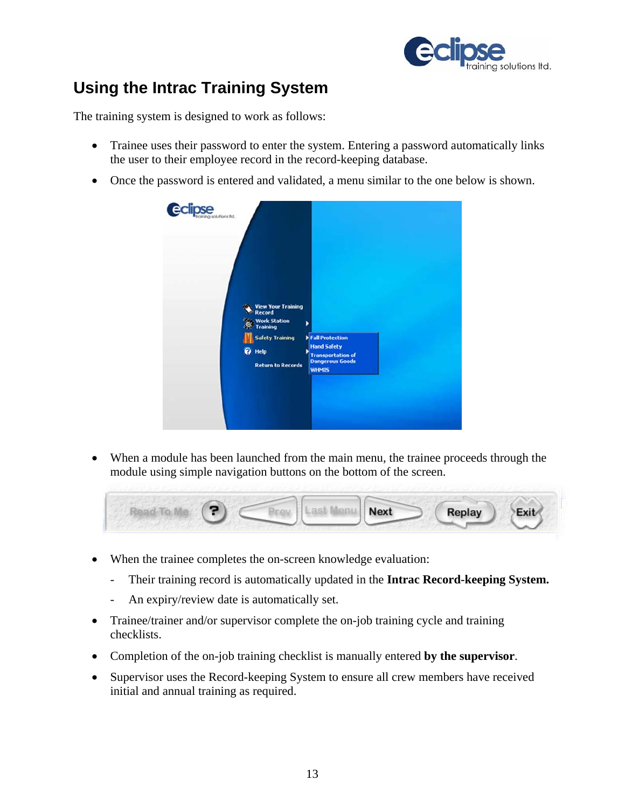

## **Using the Intrac Training System**

The training system is designed to work as follows:

- Trainee uses their password to enter the system. Entering a password automatically links the user to their employee record in the record-keeping database.
- Once the password is entered and validated, a menu similar to the one below is shown.



• When a module has been launched from the main menu, the trainee proceeds through the module using simple navigation buttons on the bottom of the screen.

|  | <b>Next</b> | <b>Replay</b> | Exit |
|--|-------------|---------------|------|
|  |             |               |      |

- When the trainee completes the on-screen knowledge evaluation:
	- Their training record is automatically updated in the **Intrac Record-keeping System.**
	- An expiry/review date is automatically set.
- Trainee/trainer and/or supervisor complete the on-job training cycle and training checklists.
- Completion of the on-job training checklist is manually entered **by the supervisor**.
- Supervisor uses the Record-keeping System to ensure all crew members have received initial and annual training as required.